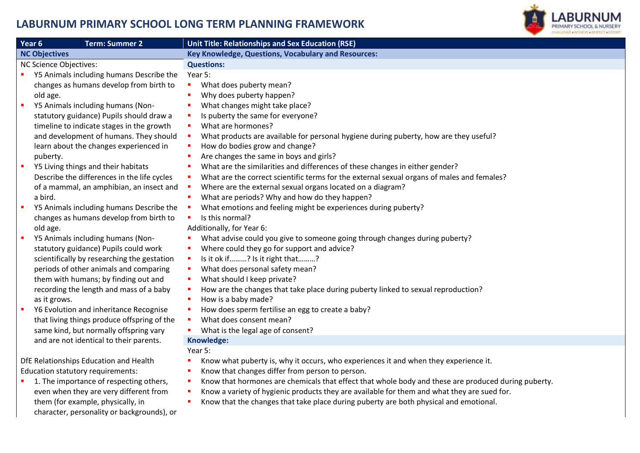## **LABURNUM PRIMARY SCHOOL LONG TERM PLANNING FRAMEWORK**



| Year 6<br><b>Term: Summer 2</b>               | Unit Title: Relationships and Sex Education (RSE)                                                   |
|-----------------------------------------------|-----------------------------------------------------------------------------------------------------|
| <b>NC Objectives</b>                          | <b>Key Knowledge, Questions, Vocabulary and Resources:</b>                                          |
| NC Science Objectives:                        | <b>Questions:</b>                                                                                   |
| Y5 Animals including humans Describe the      | Year 5:                                                                                             |
| changes as humans develop from birth to       | What does puberty mean?                                                                             |
| old age.                                      | Why does puberty happen?                                                                            |
| Y5 Animals including humans (Non-<br>×        | What changes might take place?                                                                      |
| statutory guidance) Pupils should draw a      | Is puberty the same for everyone?                                                                   |
| timeline to indicate stages in the growth     | What are hormones?                                                                                  |
| and development of humans. They should        | What products are available for personal hygiene during puberty, how are they useful?               |
| learn about the changes experienced in        | How do bodies grow and change?                                                                      |
| puberty.                                      | Are changes the same in boys and girls?                                                             |
| Y5 Living things and their habitats<br>п      | What are the similarities and differences of these changes in either gender?                        |
| Describe the differences in the life cycles   | What are the correct scientific terms for the external sexual organs of males and females?          |
| of a mammal, an amphibian, an insect and      | Where are the external sexual organs located on a diagram?                                          |
| a bird.                                       | What are periods? Why and how do they happen?                                                       |
| Y5 Animals including humans Describe the<br>٠ | What emotions and feeling might be experiences during puberty?                                      |
| changes as humans develop from birth to       | Is this normal?                                                                                     |
| old age.                                      | Additionally, for Year 6:                                                                           |
| Y5 Animals including humans (Non-<br>п        | What advise could you give to someone going through changes during puberty?                         |
| statutory guidance) Pupils could work         | Where could they go for support and advice?                                                         |
| scientifically by researching the gestation   | Is it ok if? Is it right that?                                                                      |
| periods of other animals and comparing        | What does personal safety mean?                                                                     |
| them with humans; by finding out and          | What should I keep private?                                                                         |
| recording the length and mass of a baby       | How are the changes that take place during puberty linked to sexual reproduction?                   |
| as it grows.                                  | How is a baby made?                                                                                 |
| Y6 Evolution and inheritance Recognise        | How does sperm fertilise an egg to create a baby?                                                   |
| that living things produce offspring of the   | What does consent mean?                                                                             |
| same kind, but normally offspring vary        | What is the legal age of consent?<br>$\blacksquare$                                                 |
| and are not identical to their parents.       | Knowledge:                                                                                          |
|                                               | Year 5:                                                                                             |
| DfE Relationships Education and Health        | Know what puberty is, why it occurs, who experiences it and when they experience it.                |
| Education statutory requirements:             | Know that changes differ from person to person.                                                     |
| 1. The importance of respecting others,       | Know that hormones are chemicals that effect that whole body and these are produced during puberty. |
| even when they are very different from        | Know a variety of hygienic products they are available for them and what they are sued for.         |
| them (for example, physically, in             | Know that the changes that take place during puberty are both physical and emotional.               |
| character, personality or backgrounds), or    |                                                                                                     |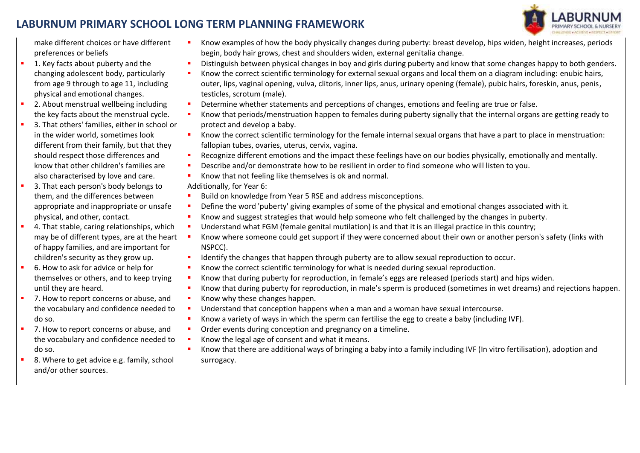## **LABURNUM PRIMARY SCHOOL LONG TERM PLANNING FRAMEWORK**



make different choices or have different preferences or beliefs

- 1. Key facts about puberty and the changing adolescent body, particularly from age 9 through to age 11, including physical and emotional changes.
- 2. About menstrual wellbeing including the key facts about the menstrual cycle.
- 3. That others' families, either in school or in the wider world, sometimes look different from their family, but that they should respect those differences and know that other children's families are also characterised by love and care.
- 3. That each person's body belongs to them, and the differences between appropriate and inappropriate or unsafe physical, and other, contact.
- 4. That stable, caring relationships, which may be of different types, are at the heart of happy families, and are important for children's security as they grow up.
- 6. How to ask for advice or help for themselves or others, and to keep trying until they are heard.
- 7. How to report concerns or abuse, and the vocabulary and confidence needed to do so.
- 7. How to report concerns or abuse, and the vocabulary and confidence needed to do so.
- 8. Where to get advice e.g. family, school and/or other sources.
- Know examples of how the body physically changes during puberty: breast develop, hips widen, height increases, periods begin, body hair grows, chest and shoulders widen, external genitalia change.
- **Distinguish between physical changes in boy and girls during puberty and know that some changes happy to both genders.**
- Know the correct scientific terminology for external sexual organs and local them on a diagram including: enubic hairs, outer, lips, vaginal opening, vulva, clitoris, inner lips, anus, urinary opening (female), pubic hairs, foreskin, anus, penis, testicles, scrotum (male).
- **•** Determine whether statements and perceptions of changes, emotions and feeling are true or false.
- Know that periods/menstruation happen to females during puberty signally that the internal organs are getting ready to protect and develop a baby.
- Know the correct scientific terminology for the female internal sexual organs that have a part to place in menstruation: fallopian tubes, ovaries, uterus, cervix, vagina.
- Recognize different emotions and the impact these feelings have on our bodies physically, emotionally and mentally.
- Describe and/or demonstrate how to be resilient in order to find someone who will listen to you.
- Know that not feeling like themselves is ok and normal.

Additionally, for Year 6:

- Build on knowledge from Year 5 RSE and address misconceptions.
- Define the word 'puberty' giving examples of some of the physical and emotional changes associated with it.
- Know and suggest strategies that would help someone who felt challenged by the changes in puberty.
- Understand what FGM (female genital mutilation) is and that it is an illegal practice in this country;
- Know where someone could get support if they were concerned about their own or another person's safety (links with NSPCC).
- Identify the changes that happen through puberty are to allow sexual reproduction to occur.
- Know the correct scientific terminology for what is needed during sexual reproduction.
- Know that during puberty for reproduction, in female's eggs are released (periods start) and hips widen.
- Know that during puberty for reproduction, in male's sperm is produced (sometimes in wet dreams) and rejections happen.
- Know why these changes happen.
- Understand that conception happens when a man and a woman have sexual intercourse.
- **K**now a variety of ways in which the sperm can fertilise the egg to create a baby (including IVF).
- Order events during conception and pregnancy on a timeline.
- Know the legal age of consent and what it means.
- Know that there are additional ways of bringing a baby into a family including IVF (In vitro fertilisation), adoption and surrogacy.